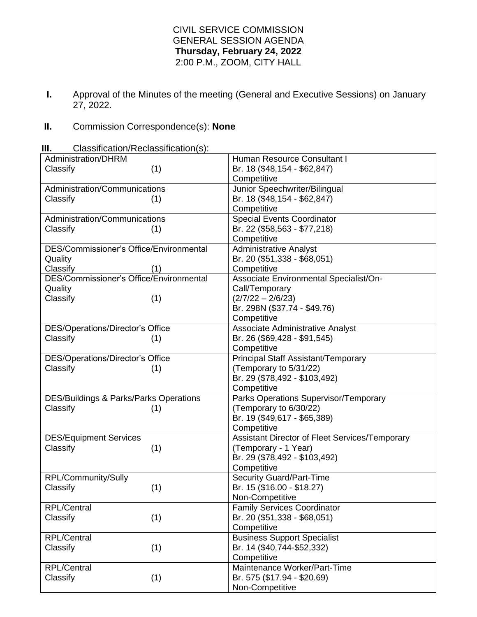## CIVIL SERVICE COMMISSION GENERAL SESSION AGENDA **Thursday, February 24, 2022** 2:00 P.M., ZOOM, CITY HALL

**I.** Approval of the Minutes of the meeting (General and Executive Sessions) on January 27, 2022.

## **II.** Commission Correspondence(s): **None**

**III.** Classification/Reclassification(s):

| Administration/DHRM                            | Human Resource Consultant I                    |
|------------------------------------------------|------------------------------------------------|
| (1)<br>Classify                                | Br. 18 (\$48,154 - \$62,847)                   |
|                                                | Competitive                                    |
| Administration/Communications                  | Junior Speechwriter/Bilingual                  |
| Classify<br>(1)                                | Br. 18 (\$48,154 - \$62,847)                   |
|                                                | Competitive                                    |
| Administration/Communications                  | <b>Special Events Coordinator</b>              |
| Classify<br>(1)                                | Br. 22 (\$58,563 - \$77,218)                   |
|                                                | Competitive                                    |
| <b>DES/Commissioner's Office/Environmental</b> | <b>Administrative Analyst</b>                  |
| Quality                                        | Br. 20 (\$51,338 - \$68,051)                   |
| Classify<br>(1)                                | Competitive                                    |
| DES/Commissioner's Office/Environmental        | Associate Environmental Specialist/On-         |
| Quality                                        | Call/Temporary                                 |
| Classify<br>(1)                                | $(2/7/22 - 2/6/23)$                            |
|                                                | Br. 298N (\$37.74 - \$49.76)                   |
|                                                | Competitive                                    |
| DES/Operations/Director's Office               | <b>Associate Administrative Analyst</b>        |
| Classify<br>(1)                                | Br. 26 (\$69,428 - \$91,545)                   |
|                                                | Competitive                                    |
| DES/Operations/Director's Office               | Principal Staff Assistant/Temporary            |
| Classify<br>(1)                                | (Temporary to 5/31/22)                         |
|                                                | Br. 29 (\$78,492 - \$103,492)                  |
|                                                | Competitive                                    |
| DES/Buildings & Parks/Parks Operations         | Parks Operations Supervisor/Temporary          |
| Classify<br>(1)                                | (Temporary to 6/30/22)                         |
|                                                | Br. 19 (\$49,617 - \$65,389)                   |
|                                                | Competitive                                    |
| <b>DES/Equipment Services</b>                  | Assistant Director of Fleet Services/Temporary |
| Classify<br>(1)                                | (Temporary - 1 Year)                           |
|                                                | Br. 29 (\$78,492 - \$103,492)                  |
|                                                | Competitive                                    |
| RPL/Community/Sully                            | <b>Security Guard/Part-Time</b>                |
| Classify<br>(1)                                | Br. 15 (\$16.00 - \$18.27)                     |
|                                                | Non-Competitive                                |
| <b>RPL/Central</b>                             | <b>Family Services Coordinator</b>             |
| (1)<br>Classify                                | Br. 20 (\$51,338 - \$68,051)                   |
|                                                | Competitive                                    |
| <b>RPL/Central</b>                             | <b>Business Support Specialist</b>             |
| (1)<br>Classify                                | Br. 14 (\$40,744-\$52,332)                     |
|                                                | Competitive                                    |
| <b>RPL/Central</b>                             | Maintenance Worker/Part-Time                   |
|                                                | Br. 575 (\$17.94 - \$20.69)                    |
| (1)<br>Classify                                |                                                |
|                                                | Non-Competitive                                |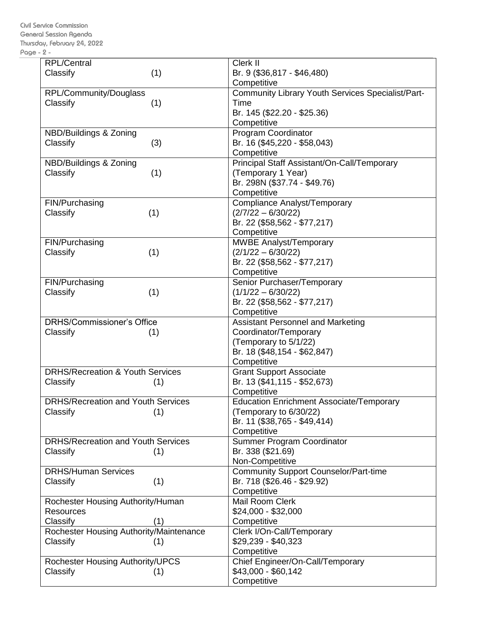Civil Service Commission General Session Agenda Thursday, February 24, 2022 Page - 2 -

| <b>RPL/Central</b>                          | Clerk II                                          |
|---------------------------------------------|---------------------------------------------------|
| (1)<br>Classify                             | Br. 9 (\$36,817 - \$46,480)                       |
|                                             | Competitive                                       |
| RPL/Community/Douglass                      | Community Library Youth Services Specialist/Part- |
| (1)<br>Classify                             | Time                                              |
|                                             |                                                   |
|                                             | Br. 145 (\$22.20 - \$25.36)                       |
|                                             | Competitive                                       |
| NBD/Buildings & Zoning                      | <b>Program Coordinator</b>                        |
| Classify<br>(3)                             | Br. 16 (\$45,220 - \$58,043)                      |
|                                             | Competitive                                       |
| NBD/Buildings & Zoning                      | Principal Staff Assistant/On-Call/Temporary       |
| Classify<br>(1)                             | (Temporary 1 Year)                                |
|                                             | Br. 298N (\$37.74 - \$49.76)                      |
|                                             | Competitive                                       |
| FIN/Purchasing                              | <b>Compliance Analyst/Temporary</b>               |
| Classify                                    | $(2/7/22 - 6/30/22)$                              |
| (1)                                         |                                                   |
|                                             | Br. 22 (\$58,562 - \$77,217)                      |
|                                             | Competitive                                       |
| FIN/Purchasing                              | MWBE Analyst/Temporary                            |
| Classify<br>(1)                             | $(2/1/22 - 6/30/22)$                              |
|                                             | Br. 22 (\$58,562 - \$77,217)                      |
|                                             | Competitive                                       |
| FIN/Purchasing                              | Senior Purchaser/Temporary                        |
| (1)<br>Classify                             | $(1/1/22 - 6/30/22)$                              |
|                                             | Br. 22 (\$58,562 - \$77,217)                      |
|                                             | Competitive                                       |
| <b>DRHS/Commissioner's Office</b>           | <b>Assistant Personnel and Marketing</b>          |
|                                             |                                                   |
| Classify<br>(1)                             | Coordinator/Temporary                             |
|                                             | (Temporary to 5/1/22)                             |
|                                             | Br. 18 (\$48,154 - \$62,847)                      |
|                                             | Competitive                                       |
| <b>DRHS/Recreation &amp; Youth Services</b> | <b>Grant Support Associate</b>                    |
| Classify<br>(1)                             | Br. 13 (\$41,115 - \$52,673)                      |
|                                             | Competitive                                       |
| <b>DRHS/Recreation and Youth Services</b>   | <b>Education Enrichment Associate/Temporary</b>   |
| Classify<br>(1)                             | (Temporary to 6/30/22)                            |
|                                             | Br. 11 (\$38,765 - \$49,414)                      |
|                                             | Competitive                                       |
| <b>DRHS/Recreation and Youth Services</b>   | Summer Program Coordinator                        |
| Classify<br>(1)                             | Br. 338 (\$21.69)                                 |
|                                             | Non-Competitive                                   |
|                                             |                                                   |
| <b>DRHS/Human Services</b>                  | <b>Community Support Counselor/Part-time</b>      |
| (1)<br>Classify                             | Br. 718 (\$26.46 - \$29.92)                       |
|                                             | Competitive                                       |
| Rochester Housing Authority/Human           | Mail Room Clerk                                   |
| <b>Resources</b>                            | \$24,000 - \$32,000                               |
| Classify<br>(1)                             | Competitive                                       |
| Rochester Housing Authority/Maintenance     | Clerk I/On-Call/Temporary                         |
| Classify<br>(1)                             | \$29,239 - \$40,323                               |
|                                             | Competitive                                       |
| <b>Rochester Housing Authority/UPCS</b>     | Chief Engineer/On-Call/Temporary                  |
| Classify<br>(1)                             | \$43,000 - \$60,142                               |
|                                             | Competitive                                       |
|                                             |                                                   |